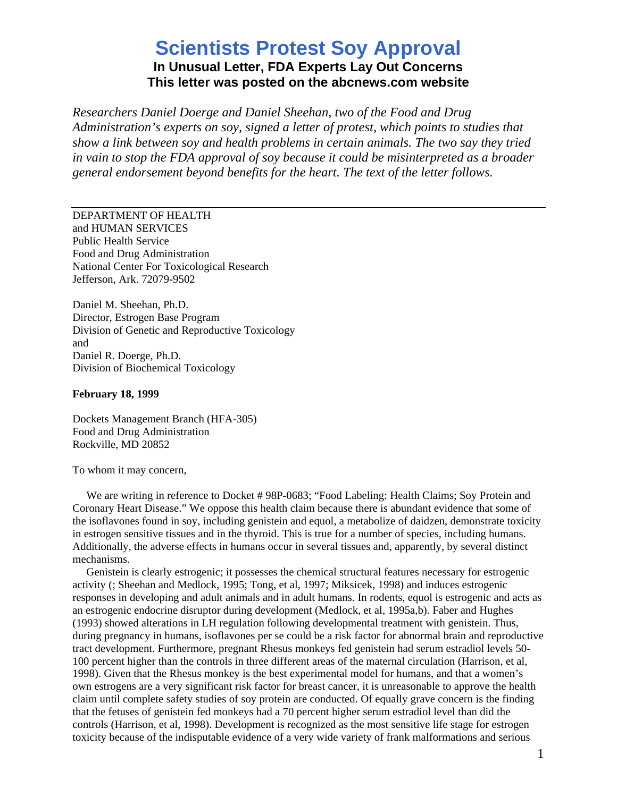## **Scientists Protest Soy Approval In Unusual Letter, FDA Experts Lay Out Concerns This letter was posted on the abcnews.com website**

*Researchers Daniel Doerge and Daniel Sheehan, two of the Food and Drug Administration's experts on soy, signed a letter of protest, which points to studies that show a link between soy and health problems in certain animals. The two say they tried in vain to stop the FDA approval of soy because it could be misinterpreted as a broader general endorsement beyond benefits for the heart. The text of the letter follows.*

DEPARTMENT OF HEALTH and HUMAN SERVICES Public Health Service Food and Drug Administration National Center For Toxicological Research Jefferson, Ark. 72079-9502

Daniel M. Sheehan, Ph.D. Director, Estrogen Base Program Division of Genetic and Reproductive Toxicology and Daniel R. Doerge, Ph.D. Division of Biochemical Toxicology

## **February 18, 1999**

Dockets Management Branch (HFA-305) Food and Drug Administration Rockville, MD 20852

To whom it may concern,

We are writing in reference to Docket # 98P-0683; "Food Labeling: Health Claims; Soy Protein and Coronary Heart Disease." We oppose this health claim because there is abundant evidence that some of the isoflavones found in soy, including genistein and equol, a metabolize of daidzen, demonstrate toxicity in estrogen sensitive tissues and in the thyroid. This is true for a number of species, including humans. Additionally, the adverse effects in humans occur in several tissues and, apparently, by several distinct mechanisms.

 Genistein is clearly estrogenic; it possesses the chemical structural features necessary for estrogenic activity (; Sheehan and Medlock, 1995; Tong, et al, 1997; Miksicek, 1998) and induces estrogenic responses in developing and adult animals and in adult humans. In rodents, equol is estrogenic and acts as an estrogenic endocrine disruptor during development (Medlock, et al, 1995a,b). Faber and Hughes (1993) showed alterations in LH regulation following developmental treatment with genistein. Thus, during pregnancy in humans, isoflavones per se could be a risk factor for abnormal brain and reproductive tract development. Furthermore, pregnant Rhesus monkeys fed genistein had serum estradiol levels 50- 100 percent higher than the controls in three different areas of the maternal circulation (Harrison, et al, 1998). Given that the Rhesus monkey is the best experimental model for humans, and that a women's own estrogens are a very significant risk factor for breast cancer, it is unreasonable to approve the health claim until complete safety studies of soy protein are conducted. Of equally grave concern is the finding that the fetuses of genistein fed monkeys had a 70 percent higher serum estradiol level than did the controls (Harrison, et al, 1998). Development is recognized as the most sensitive life stage for estrogen toxicity because of the indisputable evidence of a very wide variety of frank malformations and serious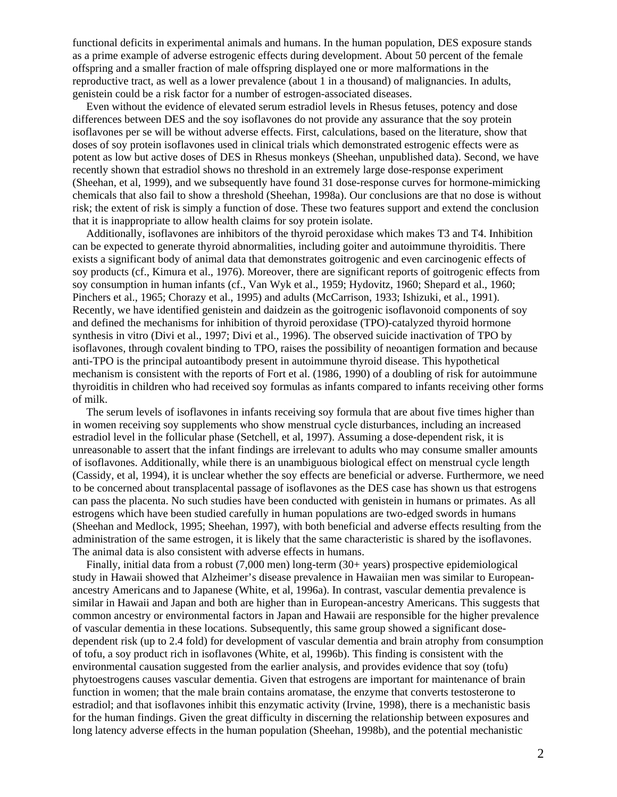functional deficits in experimental animals and humans. In the human population, DES exposure stands as a prime example of adverse estrogenic effects during development. About 50 percent of the female offspring and a smaller fraction of male offspring displayed one or more malformations in the reproductive tract, as well as a lower prevalence (about 1 in a thousand) of malignancies. In adults, genistein could be a risk factor for a number of estrogen-associated diseases.

 Even without the evidence of elevated serum estradiol levels in Rhesus fetuses, potency and dose differences between DES and the soy isoflavones do not provide any assurance that the soy protein isoflavones per se will be without adverse effects. First, calculations, based on the literature, show that doses of soy protein isoflavones used in clinical trials which demonstrated estrogenic effects were as potent as low but active doses of DES in Rhesus monkeys (Sheehan, unpublished data). Second, we have recently shown that estradiol shows no threshold in an extremely large dose-response experiment (Sheehan, et al, 1999), and we subsequently have found 31 dose-response curves for hormone-mimicking chemicals that also fail to show a threshold (Sheehan, 1998a). Our conclusions are that no dose is without risk; the extent of risk is simply a function of dose. These two features support and extend the conclusion that it is inappropriate to allow health claims for soy protein isolate.

 Additionally, isoflavones are inhibitors of the thyroid peroxidase which makes T3 and T4. Inhibition can be expected to generate thyroid abnormalities, including goiter and autoimmune thyroiditis. There exists a significant body of animal data that demonstrates goitrogenic and even carcinogenic effects of soy products (cf., Kimura et al., 1976). Moreover, there are significant reports of goitrogenic effects from soy consumption in human infants (cf., Van Wyk et al., 1959; Hydovitz, 1960; Shepard et al., 1960; Pinchers et al., 1965; Chorazy et al., 1995) and adults (McCarrison, 1933; Ishizuki, et al., 1991). Recently, we have identified genistein and daidzein as the goitrogenic isoflavonoid components of soy and defined the mechanisms for inhibition of thyroid peroxidase (TPO)-catalyzed thyroid hormone synthesis in vitro (Divi et al., 1997; Divi et al., 1996). The observed suicide inactivation of TPO by isoflavones, through covalent binding to TPO, raises the possibility of neoantigen formation and because anti-TPO is the principal autoantibody present in autoimmune thyroid disease. This hypothetical mechanism is consistent with the reports of Fort et al. (1986, 1990) of a doubling of risk for autoimmune thyroiditis in children who had received soy formulas as infants compared to infants receiving other forms of milk.

 The serum levels of isoflavones in infants receiving soy formula that are about five times higher than in women receiving soy supplements who show menstrual cycle disturbances, including an increased estradiol level in the follicular phase (Setchell, et al, 1997). Assuming a dose-dependent risk, it is unreasonable to assert that the infant findings are irrelevant to adults who may consume smaller amounts of isoflavones. Additionally, while there is an unambiguous biological effect on menstrual cycle length (Cassidy, et al, 1994), it is unclear whether the soy effects are beneficial or adverse. Furthermore, we need to be concerned about transplacental passage of isoflavones as the DES case has shown us that estrogens can pass the placenta. No such studies have been conducted with genistein in humans or primates. As all estrogens which have been studied carefully in human populations are two-edged swords in humans (Sheehan and Medlock, 1995; Sheehan, 1997), with both beneficial and adverse effects resulting from the administration of the same estrogen, it is likely that the same characteristic is shared by the isoflavones. The animal data is also consistent with adverse effects in humans.

 Finally, initial data from a robust (7,000 men) long-term (30+ years) prospective epidemiological study in Hawaii showed that Alzheimer's disease prevalence in Hawaiian men was similar to Europeanancestry Americans and to Japanese (White, et al, 1996a). In contrast, vascular dementia prevalence is similar in Hawaii and Japan and both are higher than in European-ancestry Americans. This suggests that common ancestry or environmental factors in Japan and Hawaii are responsible for the higher prevalence of vascular dementia in these locations. Subsequently, this same group showed a significant dosedependent risk (up to 2.4 fold) for development of vascular dementia and brain atrophy from consumption of tofu, a soy product rich in isoflavones (White, et al, 1996b). This finding is consistent with the environmental causation suggested from the earlier analysis, and provides evidence that soy (tofu) phytoestrogens causes vascular dementia. Given that estrogens are important for maintenance of brain function in women; that the male brain contains aromatase, the enzyme that converts testosterone to estradiol; and that isoflavones inhibit this enzymatic activity (Irvine, 1998), there is a mechanistic basis for the human findings. Given the great difficulty in discerning the relationship between exposures and long latency adverse effects in the human population (Sheehan, 1998b), and the potential mechanistic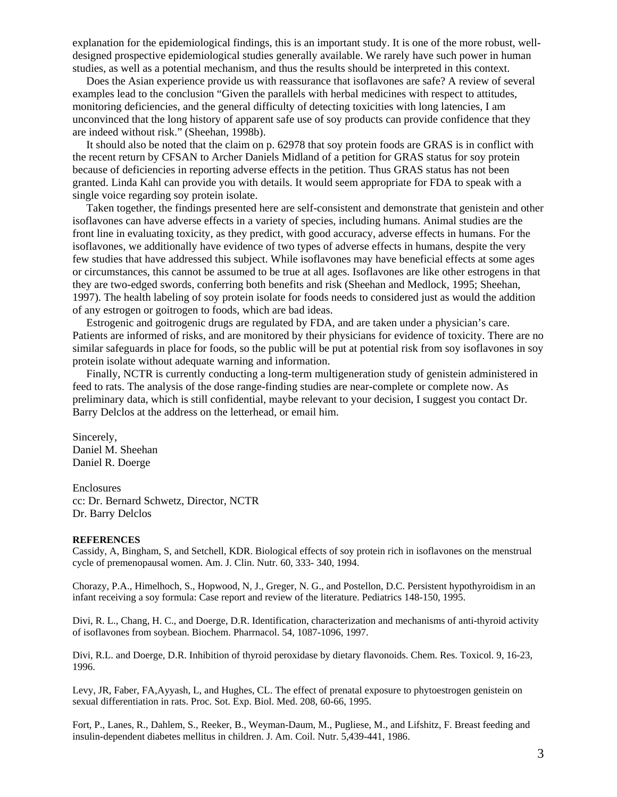explanation for the epidemiological findings, this is an important study. It is one of the more robust, welldesigned prospective epidemiological studies generally available. We rarely have such power in human studies, as well as a potential mechanism, and thus the results should be interpreted in this context.

 Does the Asian experience provide us with reassurance that isoflavones are safe? A review of several examples lead to the conclusion "Given the parallels with herbal medicines with respect to attitudes, monitoring deficiencies, and the general difficulty of detecting toxicities with long latencies, I am unconvinced that the long history of apparent safe use of soy products can provide confidence that they are indeed without risk." (Sheehan, 1998b).

 It should also be noted that the claim on p. 62978 that soy protein foods are GRAS is in conflict with the recent return by CFSAN to Archer Daniels Midland of a petition for GRAS status for soy protein because of deficiencies in reporting adverse effects in the petition. Thus GRAS status has not been granted. Linda Kahl can provide you with details. It would seem appropriate for FDA to speak with a single voice regarding soy protein isolate.

 Taken together, the findings presented here are self-consistent and demonstrate that genistein and other isoflavones can have adverse effects in a variety of species, including humans. Animal studies are the front line in evaluating toxicity, as they predict, with good accuracy, adverse effects in humans. For the isoflavones, we additionally have evidence of two types of adverse effects in humans, despite the very few studies that have addressed this subject. While isoflavones may have beneficial effects at some ages or circumstances, this cannot be assumed to be true at all ages. Isoflavones are like other estrogens in that they are two-edged swords, conferring both benefits and risk (Sheehan and Medlock, 1995; Sheehan, 1997). The health labeling of soy protein isolate for foods needs to considered just as would the addition of any estrogen or goitrogen to foods, which are bad ideas.

 Estrogenic and goitrogenic drugs are regulated by FDA, and are taken under a physician's care. Patients are informed of risks, and are monitored by their physicians for evidence of toxicity. There are no similar safeguards in place for foods, so the public will be put at potential risk from soy isoflavones in soy protein isolate without adequate warning and information.

 Finally, NCTR is currently conducting a long-term multigeneration study of genistein administered in feed to rats. The analysis of the dose range-finding studies are near-complete or complete now. As preliminary data, which is still confidential, maybe relevant to your decision, I suggest you contact Dr. Barry Delclos at the address on the letterhead, or email him.

Sincerely, Daniel M. Sheehan Daniel R. Doerge

Enclosures cc: Dr. Bernard Schwetz, Director, NCTR Dr. Barry Delclos

## **REFERENCES**

Cassidy, A, Bingham, S, and Setchell, KDR. Biological effects of soy protein rich in isoflavones on the menstrual cycle of premenopausal women. Am. J. Clin. Nutr. 60, 333- 340, 1994.

Chorazy, P.A., Himelhoch, S., Hopwood, N, J., Greger, N. G., and Postellon, D.C. Persistent hypothyroidism in an infant receiving a soy formula: Case report and review of the literature. Pediatrics 148-150, 1995.

Divi, R. L., Chang, H. C., and Doerge, D.R. Identification, characterization and mechanisms of anti-thyroid activity of isoflavones from soybean. Biochem. Pharrnacol. 54, 1087-1096, 1997.

Divi, R.L. and Doerge, D.R. Inhibition of thyroid peroxidase by dietary flavonoids. Chem. Res. Toxicol. 9, 16-23, 1996.

Levy, JR, Faber, FA,Ayyash, L, and Hughes, CL. The effect of prenatal exposure to phytoestrogen genistein on sexual differentiation in rats. Proc. Sot. Exp. Biol. Med. 208, 60-66, 1995.

Fort, P., Lanes, R., Dahlem, S., Reeker, B., Weyman-Daum, M., Pugliese, M., and Lifshitz, F. Breast feeding and insulin-dependent diabetes mellitus in children. J. Am. Coil. Nutr. 5,439-441, 1986.